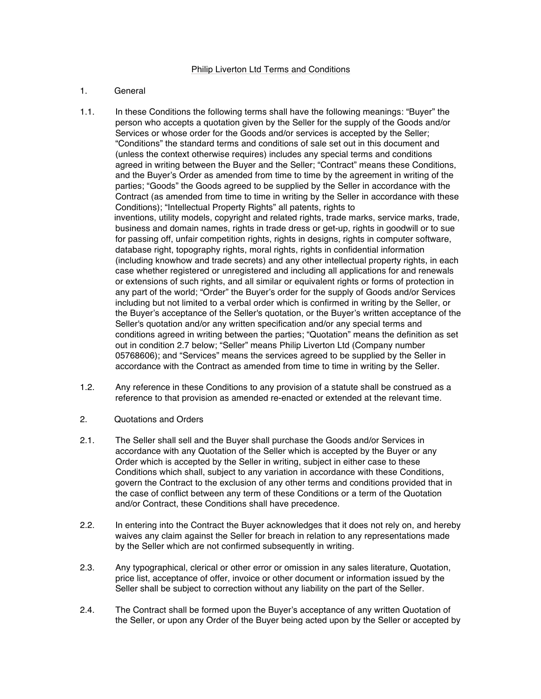## 1. General

- 1.1. In these Conditions the following terms shall have the following meanings: "Buyer" the person who accepts a quotation given by the Seller for the supply of the Goods and/or Services or whose order for the Goods and/or services is accepted by the Seller; "Conditions" the standard terms and conditions of sale set out in this document and (unless the context otherwise requires) includes any special terms and conditions agreed in writing between the Buyer and the Seller; "Contract" means these Conditions, and the Buyer's Order as amended from time to time by the agreement in writing of the parties; "Goods" the Goods agreed to be supplied by the Seller in accordance with the Contract (as amended from time to time in writing by the Seller in accordance with these Conditions); "Intellectual Property Rights" all patents, rights to inventions, utility models, copyright and related rights, trade marks, service marks, trade, business and domain names, rights in trade dress or get-up, rights in goodwill or to sue for passing off, unfair competition rights, rights in designs, rights in computer software, database right, topography rights, moral rights, rights in confidential information (including knowhow and trade secrets) and any other intellectual property rights, in each case whether registered or unregistered and including all applications for and renewals or extensions of such rights, and all similar or equivalent rights or forms of protection in any part of the world; "Order" the Buyer's order for the supply of Goods and/or Services including but not limited to a verbal order which is confirmed in writing by the Seller, or the Buyer's acceptance of the Seller's quotation, or the Buyer's written acceptance of the Seller's quotation and/or any written specification and/or any special terms and conditions agreed in writing between the parties; "Quotation" means the definition as set out in condition 2.7 below; "Seller" means Philip Liverton Ltd (Company number 05768606); and "Services" means the services agreed to be supplied by the Seller in accordance with the Contract as amended from time to time in writing by the Seller.
- 1.2. Any reference in these Conditions to any provision of a statute shall be construed as a reference to that provision as amended re-enacted or extended at the relevant time.
- 2. Quotations and Orders
- 2.1. The Seller shall sell and the Buyer shall purchase the Goods and/or Services in accordance with any Quotation of the Seller which is accepted by the Buyer or any Order which is accepted by the Seller in writing, subject in either case to these Conditions which shall, subject to any variation in accordance with these Conditions, govern the Contract to the exclusion of any other terms and conditions provided that in the case of conflict between any term of these Conditions or a term of the Quotation and/or Contract, these Conditions shall have precedence.
- 2.2. In entering into the Contract the Buyer acknowledges that it does not rely on, and hereby waives any claim against the Seller for breach in relation to any representations made by the Seller which are not confirmed subsequently in writing.
- 2.3. Any typographical, clerical or other error or omission in any sales literature, Quotation, price list, acceptance of offer, invoice or other document or information issued by the Seller shall be subject to correction without any liability on the part of the Seller.
- 2.4. The Contract shall be formed upon the Buyer's acceptance of any written Quotation of the Seller, or upon any Order of the Buyer being acted upon by the Seller or accepted by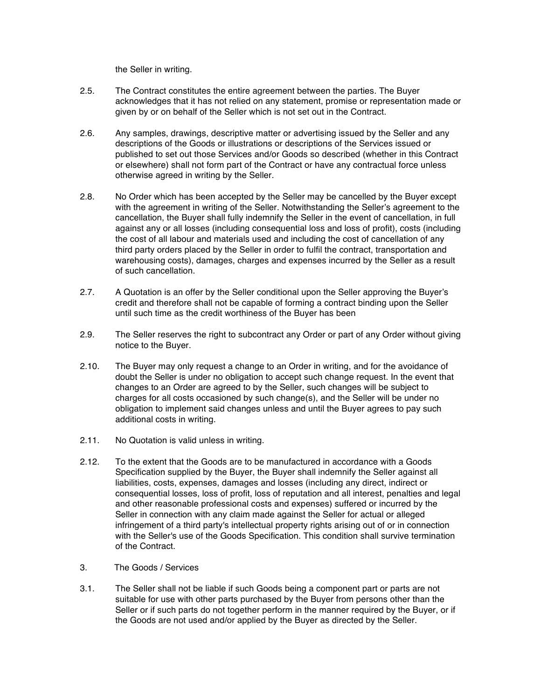the Seller in writing.

- 2.5. The Contract constitutes the entire agreement between the parties. The Buyer acknowledges that it has not relied on any statement, promise or representation made or given by or on behalf of the Seller which is not set out in the Contract.
- 2.6. Any samples, drawings, descriptive matter or advertising issued by the Seller and any descriptions of the Goods or illustrations or descriptions of the Services issued or published to set out those Services and/or Goods so described (whether in this Contract or elsewhere) shall not form part of the Contract or have any contractual force unless otherwise agreed in writing by the Seller.
- 2.8. No Order which has been accepted by the Seller may be cancelled by the Buyer except with the agreement in writing of the Seller. Notwithstanding the Seller's agreement to the cancellation, the Buyer shall fully indemnify the Seller in the event of cancellation, in full against any or all losses (including consequential loss and loss of profit), costs (including the cost of all labour and materials used and including the cost of cancellation of any third party orders placed by the Seller in order to fulfil the contract, transportation and warehousing costs), damages, charges and expenses incurred by the Seller as a result of such cancellation.
- 2.7. A Quotation is an offer by the Seller conditional upon the Seller approving the Buyer's credit and therefore shall not be capable of forming a contract binding upon the Seller until such time as the credit worthiness of the Buyer has been
- 2.9. The Seller reserves the right to subcontract any Order or part of any Order without giving notice to the Buyer.
- 2.10. The Buyer may only request a change to an Order in writing, and for the avoidance of doubt the Seller is under no obligation to accept such change request. In the event that changes to an Order are agreed to by the Seller, such changes will be subject to charges for all costs occasioned by such change(s), and the Seller will be under no obligation to implement said changes unless and until the Buyer agrees to pay such additional costs in writing.
- 2.11. No Quotation is valid unless in writing.
- 2.12. To the extent that the Goods are to be manufactured in accordance with a Goods Specification supplied by the Buyer, the Buyer shall indemnify the Seller against all liabilities, costs, expenses, damages and losses (including any direct, indirect or consequential losses, loss of profit, loss of reputation and all interest, penalties and legal and other reasonable professional costs and expenses) suffered or incurred by the Seller in connection with any claim made against the Seller for actual or alleged infringement of a third party's intellectual property rights arising out of or in connection with the Seller's use of the Goods Specification. This condition shall survive termination of the Contract.
- 3. The Goods / Services
- 3.1. The Seller shall not be liable if such Goods being a component part or parts are not suitable for use with other parts purchased by the Buyer from persons other than the Seller or if such parts do not together perform in the manner required by the Buyer, or if the Goods are not used and/or applied by the Buyer as directed by the Seller.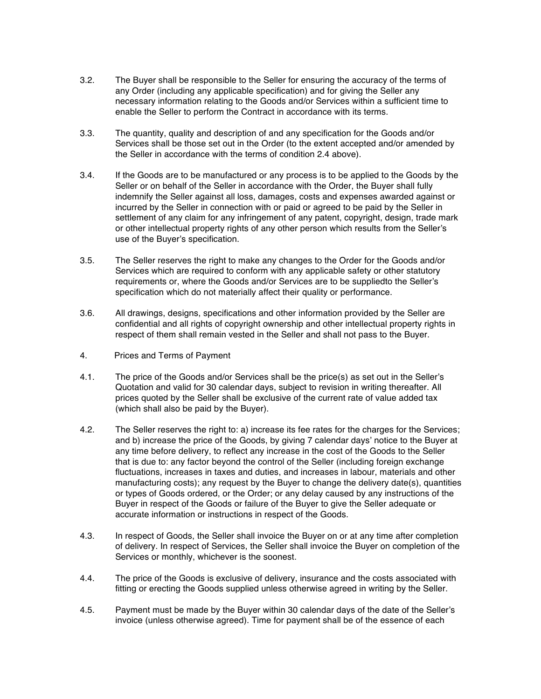- 3.2. The Buyer shall be responsible to the Seller for ensuring the accuracy of the terms of any Order (including any applicable specification) and for giving the Seller any necessary information relating to the Goods and/or Services within a sufficient time to enable the Seller to perform the Contract in accordance with its terms.
- 3.3. The quantity, quality and description of and any specification for the Goods and/or Services shall be those set out in the Order (to the extent accepted and/or amended by the Seller in accordance with the terms of condition 2.4 above).
- 3.4. If the Goods are to be manufactured or any process is to be applied to the Goods by the Seller or on behalf of the Seller in accordance with the Order, the Buyer shall fully indemnify the Seller against all loss, damages, costs and expenses awarded against or incurred by the Seller in connection with or paid or agreed to be paid by the Seller in settlement of any claim for any infringement of any patent, copyright, design, trade mark or other intellectual property rights of any other person which results from the Seller's use of the Buyer's specification.
- 3.5. The Seller reserves the right to make any changes to the Order for the Goods and/or Services which are required to conform with any applicable safety or other statutory requirements or, where the Goods and/or Services are to be suppliedto the Seller's specification which do not materially affect their quality or performance.
- 3.6. All drawings, designs, specifications and other information provided by the Seller are confidential and all rights of copyright ownership and other intellectual property rights in respect of them shall remain vested in the Seller and shall not pass to the Buyer.
- 4. Prices and Terms of Payment
- 4.1. The price of the Goods and/or Services shall be the price(s) as set out in the Seller's Quotation and valid for 30 calendar days, subject to revision in writing thereafter. All prices quoted by the Seller shall be exclusive of the current rate of value added tax (which shall also be paid by the Buyer).
- 4.2. The Seller reserves the right to: a) increase its fee rates for the charges for the Services; and b) increase the price of the Goods, by giving 7 calendar days' notice to the Buyer at any time before delivery, to reflect any increase in the cost of the Goods to the Seller that is due to: any factor beyond the control of the Seller (including foreign exchange fluctuations, increases in taxes and duties, and increases in labour, materials and other manufacturing costs); any request by the Buyer to change the delivery date(s), quantities or types of Goods ordered, or the Order; or any delay caused by any instructions of the Buyer in respect of the Goods or failure of the Buyer to give the Seller adequate or accurate information or instructions in respect of the Goods.
- 4.3. In respect of Goods, the Seller shall invoice the Buyer on or at any time after completion of delivery. In respect of Services, the Seller shall invoice the Buyer on completion of the Services or monthly, whichever is the soonest.
- 4.4. The price of the Goods is exclusive of delivery, insurance and the costs associated with fitting or erecting the Goods supplied unless otherwise agreed in writing by the Seller.
- 4.5. Payment must be made by the Buyer within 30 calendar days of the date of the Seller's invoice (unless otherwise agreed). Time for payment shall be of the essence of each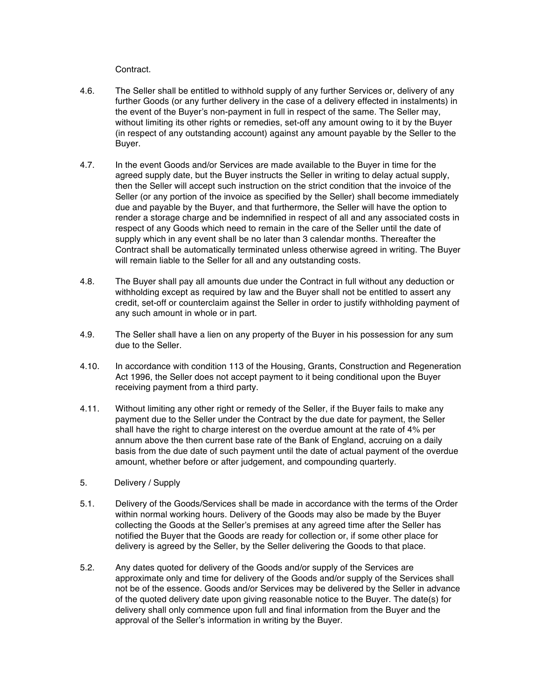Contract.

- 4.6. The Seller shall be entitled to withhold supply of any further Services or, delivery of any further Goods (or any further delivery in the case of a delivery effected in instalments) in the event of the Buyer's non-payment in full in respect of the same. The Seller may, without limiting its other rights or remedies, set-off any amount owing to it by the Buyer (in respect of any outstanding account) against any amount payable by the Seller to the Buyer.
- 4.7. In the event Goods and/or Services are made available to the Buyer in time for the agreed supply date, but the Buyer instructs the Seller in writing to delay actual supply, then the Seller will accept such instruction on the strict condition that the invoice of the Seller (or any portion of the invoice as specified by the Seller) shall become immediately due and payable by the Buyer, and that furthermore, the Seller will have the option to render a storage charge and be indemnified in respect of all and any associated costs in respect of any Goods which need to remain in the care of the Seller until the date of supply which in any event shall be no later than 3 calendar months. Thereafter the Contract shall be automatically terminated unless otherwise agreed in writing. The Buyer will remain liable to the Seller for all and any outstanding costs.
- 4.8. The Buyer shall pay all amounts due under the Contract in full without any deduction or withholding except as required by law and the Buyer shall not be entitled to assert any credit, set-off or counterclaim against the Seller in order to justify withholding payment of any such amount in whole or in part.
- 4.9. The Seller shall have a lien on any property of the Buyer in his possession for any sum due to the Seller.
- 4.10. In accordance with condition 113 of the Housing, Grants, Construction and Regeneration Act 1996, the Seller does not accept payment to it being conditional upon the Buyer receiving payment from a third party.
- 4.11. Without limiting any other right or remedy of the Seller, if the Buyer fails to make any payment due to the Seller under the Contract by the due date for payment, the Seller shall have the right to charge interest on the overdue amount at the rate of 4% per annum above the then current base rate of the Bank of England, accruing on a daily basis from the due date of such payment until the date of actual payment of the overdue amount, whether before or after judgement, and compounding quarterly.
- 5. Delivery / Supply
- 5.1. Delivery of the Goods/Services shall be made in accordance with the terms of the Order within normal working hours. Delivery of the Goods may also be made by the Buyer collecting the Goods at the Seller's premises at any agreed time after the Seller has notified the Buyer that the Goods are ready for collection or, if some other place for delivery is agreed by the Seller, by the Seller delivering the Goods to that place.
- 5.2. Any dates quoted for delivery of the Goods and/or supply of the Services are approximate only and time for delivery of the Goods and/or supply of the Services shall not be of the essence. Goods and/or Services may be delivered by the Seller in advance of the quoted delivery date upon giving reasonable notice to the Buyer. The date(s) for delivery shall only commence upon full and final information from the Buyer and the approval of the Seller's information in writing by the Buyer.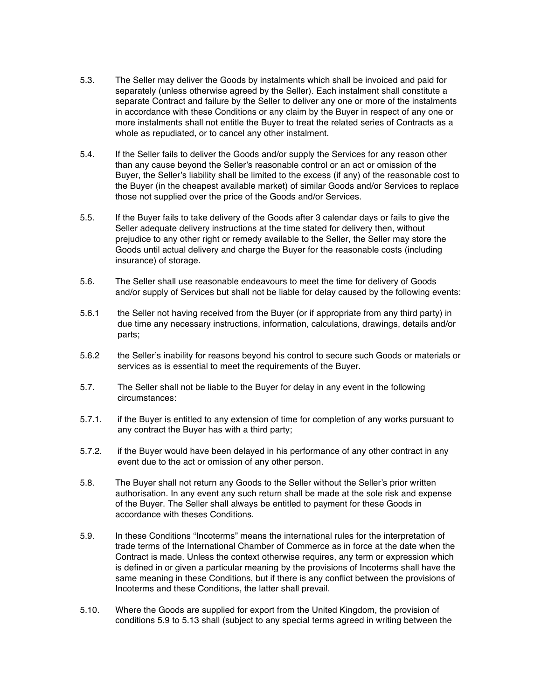- 5.3. The Seller may deliver the Goods by instalments which shall be invoiced and paid for separately (unless otherwise agreed by the Seller). Each instalment shall constitute a separate Contract and failure by the Seller to deliver any one or more of the instalments in accordance with these Conditions or any claim by the Buyer in respect of any one or more instalments shall not entitle the Buyer to treat the related series of Contracts as a whole as repudiated, or to cancel any other instalment.
- 5.4. If the Seller fails to deliver the Goods and/or supply the Services for any reason other than any cause beyond the Seller's reasonable control or an act or omission of the Buyer, the Seller's liability shall be limited to the excess (if any) of the reasonable cost to the Buyer (in the cheapest available market) of similar Goods and/or Services to replace those not supplied over the price of the Goods and/or Services.
- 5.5. If the Buyer fails to take delivery of the Goods after 3 calendar days or fails to give the Seller adequate delivery instructions at the time stated for delivery then, without prejudice to any other right or remedy available to the Seller, the Seller may store the Goods until actual delivery and charge the Buyer for the reasonable costs (including insurance) of storage.
- 5.6. The Seller shall use reasonable endeavours to meet the time for delivery of Goods and/or supply of Services but shall not be liable for delay caused by the following events:
- 5.6.1 the Seller not having received from the Buyer (or if appropriate from any third party) in due time any necessary instructions, information, calculations, drawings, details and/or parts;
- 5.6.2 the Seller's inability for reasons beyond his control to secure such Goods or materials or services as is essential to meet the requirements of the Buyer.
- 5.7. The Seller shall not be liable to the Buyer for delay in any event in the following circumstances:
- 5.7.1. if the Buyer is entitled to any extension of time for completion of any works pursuant to any contract the Buyer has with a third party;
- 5.7.2. if the Buyer would have been delayed in his performance of any other contract in any event due to the act or omission of any other person.
- 5.8. The Buyer shall not return any Goods to the Seller without the Seller's prior written authorisation. In any event any such return shall be made at the sole risk and expense of the Buyer. The Seller shall always be entitled to payment for these Goods in accordance with theses Conditions.
- 5.9. In these Conditions "Incoterms" means the international rules for the interpretation of trade terms of the International Chamber of Commerce as in force at the date when the Contract is made. Unless the context otherwise requires, any term or expression which is defined in or given a particular meaning by the provisions of Incoterms shall have the same meaning in these Conditions, but if there is any conflict between the provisions of Incoterms and these Conditions, the latter shall prevail.
- 5.10. Where the Goods are supplied for export from the United Kingdom, the provision of conditions 5.9 to 5.13 shall (subject to any special terms agreed in writing between the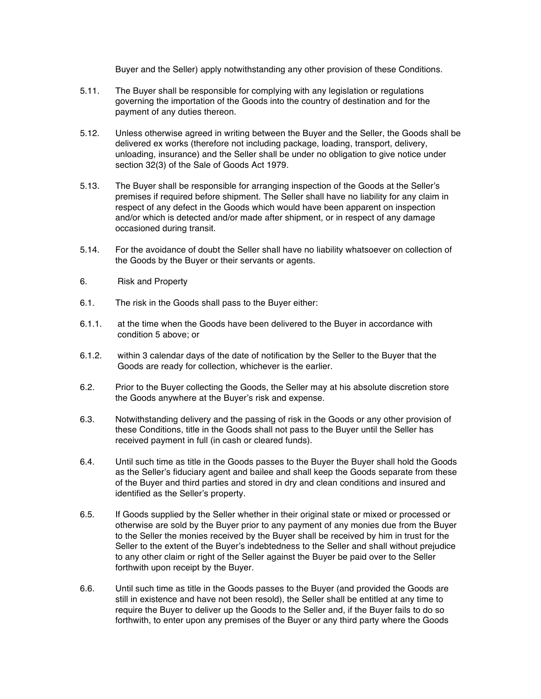Buyer and the Seller) apply notwithstanding any other provision of these Conditions.

- 5.11. The Buyer shall be responsible for complying with any legislation or regulations governing the importation of the Goods into the country of destination and for the payment of any duties thereon.
- 5.12. Unless otherwise agreed in writing between the Buyer and the Seller, the Goods shall be delivered ex works (therefore not including package, loading, transport, delivery, unloading, insurance) and the Seller shall be under no obligation to give notice under section 32(3) of the Sale of Goods Act 1979.
- 5.13. The Buyer shall be responsible for arranging inspection of the Goods at the Seller's premises if required before shipment. The Seller shall have no liability for any claim in respect of any defect in the Goods which would have been apparent on inspection and/or which is detected and/or made after shipment, or in respect of any damage occasioned during transit.
- 5.14. For the avoidance of doubt the Seller shall have no liability whatsoever on collection of the Goods by the Buyer or their servants or agents.
- 6. Risk and Property
- 6.1. The risk in the Goods shall pass to the Buyer either:
- 6.1.1. at the time when the Goods have been delivered to the Buyer in accordance with condition 5 above; or
- 6.1.2. within 3 calendar days of the date of notification by the Seller to the Buyer that the Goods are ready for collection, whichever is the earlier.
- 6.2. Prior to the Buyer collecting the Goods, the Seller may at his absolute discretion store the Goods anywhere at the Buyer's risk and expense.
- 6.3. Notwithstanding delivery and the passing of risk in the Goods or any other provision of these Conditions, title in the Goods shall not pass to the Buyer until the Seller has received payment in full (in cash or cleared funds).
- 6.4. Until such time as title in the Goods passes to the Buyer the Buyer shall hold the Goods as the Seller's fiduciary agent and bailee and shall keep the Goods separate from these of the Buyer and third parties and stored in dry and clean conditions and insured and identified as the Seller's property.
- 6.5. If Goods supplied by the Seller whether in their original state or mixed or processed or otherwise are sold by the Buyer prior to any payment of any monies due from the Buyer to the Seller the monies received by the Buyer shall be received by him in trust for the Seller to the extent of the Buyer's indebtedness to the Seller and shall without prejudice to any other claim or right of the Seller against the Buyer be paid over to the Seller forthwith upon receipt by the Buyer.
- 6.6. Until such time as title in the Goods passes to the Buyer (and provided the Goods are still in existence and have not been resold), the Seller shall be entitled at any time to require the Buyer to deliver up the Goods to the Seller and, if the Buyer fails to do so forthwith, to enter upon any premises of the Buyer or any third party where the Goods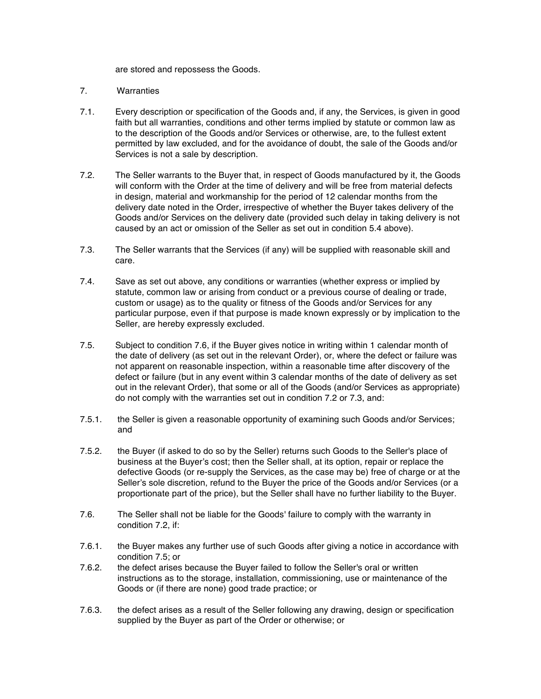are stored and repossess the Goods.

## 7. Warranties

- 7.1. Every description or specification of the Goods and, if any, the Services, is given in good faith but all warranties, conditions and other terms implied by statute or common law as to the description of the Goods and/or Services or otherwise, are, to the fullest extent permitted by law excluded, and for the avoidance of doubt, the sale of the Goods and/or Services is not a sale by description.
- 7.2. The Seller warrants to the Buyer that, in respect of Goods manufactured by it, the Goods will conform with the Order at the time of delivery and will be free from material defects in design, material and workmanship for the period of 12 calendar months from the delivery date noted in the Order, irrespective of whether the Buyer takes delivery of the Goods and/or Services on the delivery date (provided such delay in taking delivery is not caused by an act or omission of the Seller as set out in condition 5.4 above).
- 7.3. The Seller warrants that the Services (if any) will be supplied with reasonable skill and care.
- 7.4. Save as set out above, any conditions or warranties (whether express or implied by statute, common law or arising from conduct or a previous course of dealing or trade, custom or usage) as to the quality or fitness of the Goods and/or Services for any particular purpose, even if that purpose is made known expressly or by implication to the Seller, are hereby expressly excluded.
- 7.5. Subject to condition 7.6, if the Buyer gives notice in writing within 1 calendar month of the date of delivery (as set out in the relevant Order), or, where the defect or failure was not apparent on reasonable inspection, within a reasonable time after discovery of the defect or failure (but in any event within 3 calendar months of the date of delivery as set out in the relevant Order), that some or all of the Goods (and/or Services as appropriate) do not comply with the warranties set out in condition 7.2 or 7.3, and:
- 7.5.1. the Seller is given a reasonable opportunity of examining such Goods and/or Services; and
- 7.5.2. the Buyer (if asked to do so by the Seller) returns such Goods to the Seller's place of business at the Buyer's cost; then the Seller shall, at its option, repair or replace the defective Goods (or re-supply the Services, as the case may be) free of charge or at the Seller's sole discretion, refund to the Buyer the price of the Goods and/or Services (or a proportionate part of the price), but the Seller shall have no further liability to the Buyer.
- 7.6. The Seller shall not be liable for the Goods' failure to comply with the warranty in condition 7.2, if:
- 7.6.1. the Buyer makes any further use of such Goods after giving a notice in accordance with condition 7.5; or
- 7.6.2. the defect arises because the Buyer failed to follow the Seller's oral or written instructions as to the storage, installation, commissioning, use or maintenance of the Goods or (if there are none) good trade practice; or
- 7.6.3. the defect arises as a result of the Seller following any drawing, design or specification supplied by the Buyer as part of the Order or otherwise; or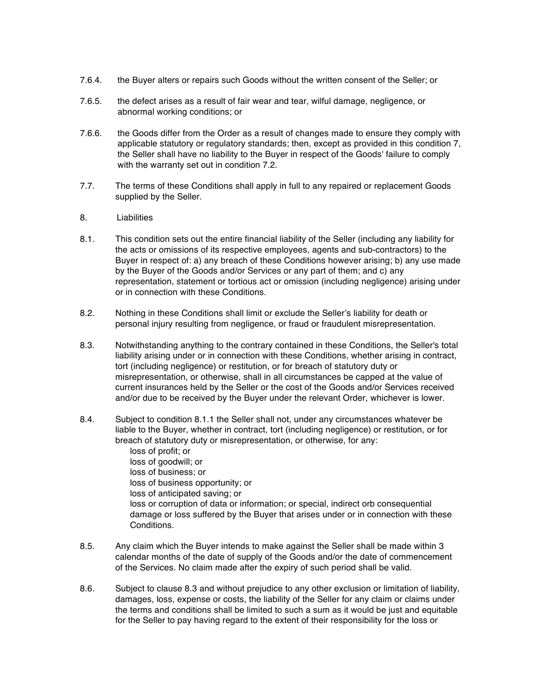- 7.6.4. the Buyer alters or repairs such Goods without the written consent of the Seller; or
- 7.6.5. the defect arises as a result of fair wear and tear, wilful damage, negligence, or abnormal working conditions; or
- 7.6.6. the Goods differ from the Order as a result of changes made to ensure they comply with applicable statutory or regulatory standards; then, except as provided in this condition 7, the Seller shall have no liability to the Buyer in respect of the Goods' failure to comply with the warranty set out in condition 7.2.
- 7.7. The terms of these Conditions shall apply in full to any repaired or replacement Goods supplied by the Seller.
- 8. Liabilities
- 8.1. This condition sets out the entire financial liability of the Seller (including any liability for the acts or omissions of its respective employees, agents and sub-contractors) to the Buyer in respect of: a) any breach of these Conditions however arising; b) any use made by the Buyer of the Goods and/or Services or any part of them; and c) any representation, statement or tortious act or omission (including negligence) arising under or in connection with these Conditions.
- 8.2. Nothing in these Conditions shall limit or exclude the Seller's liability for death or personal injury resulting from negligence, or fraud or fraudulent misrepresentation.
- 8.3. Notwithstanding anything to the contrary contained in these Conditions, the Seller's total liability arising under or in connection with these Conditions, whether arising in contract, tort (including negligence) or restitution, or for breach of statutory duty or misrepresentation, or otherwise, shall in all circumstances be capped at the value of current insurances held by the Seller or the cost of the Goods and/or Services received and/or due to be received by the Buyer under the relevant Order, whichever is lower.
- 8.4. Subject to condition 8.1.1 the Seller shall not, under any circumstances whatever be liable to the Buyer, whether in contract, tort (including negligence) or restitution, or for breach of statutory duty or misrepresentation, or otherwise, for any:

loss of profit; or loss of goodwill; or loss of business; or loss of business opportunity; or loss of anticipated saving; or loss or corruption of data or information; or special, indirect orb consequential damage or loss suffered by the Buyer that arises under or in connection with these Conditions.

- 8.5. Any claim which the Buyer intends to make against the Seller shall be made within 3 calendar months of the date of supply of the Goods and/or the date of commencement of the Services. No claim made after the expiry of such period shall be valid.
- 8.6. Subject to clause 8.3 and without prejudice to any other exclusion or limitation of liability, damages, loss, expense or costs, the liability of the Seller for any claim or claims under the terms and conditions shall be limited to such a sum as it would be just and equitable for the Seller to pay having regard to the extent of their responsibility for the loss or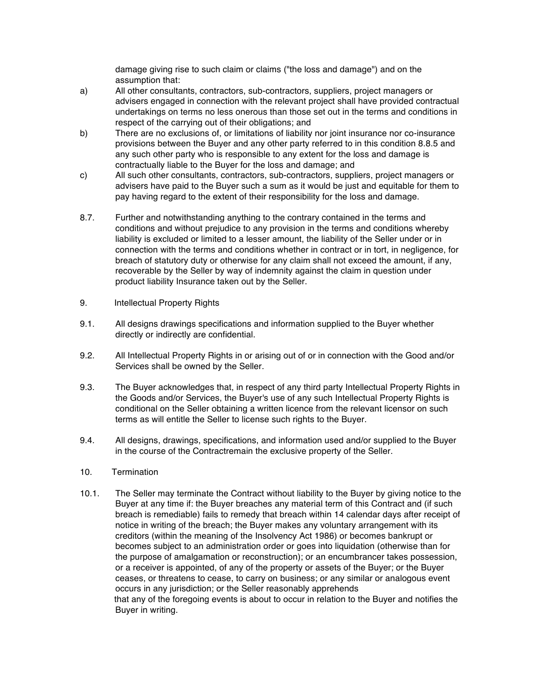damage giving rise to such claim or claims ("the loss and damage") and on the assumption that:

- a) All other consultants, contractors, sub-contractors, suppliers, project managers or advisers engaged in connection with the relevant project shall have provided contractual undertakings on terms no less onerous than those set out in the terms and conditions in respect of the carrying out of their obligations; and
- b) There are no exclusions of, or limitations of liability nor joint insurance nor co-insurance provisions between the Buyer and any other party referred to in this condition 8.8.5 and any such other party who is responsible to any extent for the loss and damage is contractually liable to the Buyer for the loss and damage; and
- c) All such other consultants, contractors, sub-contractors, suppliers, project managers or advisers have paid to the Buyer such a sum as it would be just and equitable for them to pay having regard to the extent of their responsibility for the loss and damage.
- 8.7. Further and notwithstanding anything to the contrary contained in the terms and conditions and without prejudice to any provision in the terms and conditions whereby liability is excluded or limited to a lesser amount, the liability of the Seller under or in connection with the terms and conditions whether in contract or in tort, in negligence, for breach of statutory duty or otherwise for any claim shall not exceed the amount, if any, recoverable by the Seller by way of indemnity against the claim in question under product liability Insurance taken out by the Seller.
- 9. Intellectual Property Rights
- 9.1. All designs drawings specifications and information supplied to the Buyer whether directly or indirectly are confidential.
- 9.2. All Intellectual Property Rights in or arising out of or in connection with the Good and/or Services shall be owned by the Seller.
- 9.3. The Buyer acknowledges that, in respect of any third party Intellectual Property Rights in the Goods and/or Services, the Buyer's use of any such Intellectual Property Rights is conditional on the Seller obtaining a written licence from the relevant licensor on such terms as will entitle the Seller to license such rights to the Buyer.
- 9.4. All designs, drawings, specifications, and information used and/or supplied to the Buyer in the course of the Contractremain the exclusive property of the Seller.
- 10. Termination
- 10.1. The Seller may terminate the Contract without liability to the Buyer by giving notice to the Buyer at any time if: the Buyer breaches any material term of this Contract and (if such breach is remediable) fails to remedy that breach within 14 calendar days after receipt of notice in writing of the breach; the Buyer makes any voluntary arrangement with its creditors (within the meaning of the Insolvency Act 1986) or becomes bankrupt or becomes subject to an administration order or goes into liquidation (otherwise than for the purpose of amalgamation or reconstruction); or an encumbrancer takes possession, or a receiver is appointed, of any of the property or assets of the Buyer; or the Buyer ceases, or threatens to cease, to carry on business; or any similar or analogous event occurs in any jurisdiction; or the Seller reasonably apprehends that any of the foregoing events is about to occur in relation to the Buyer and notifies the Buyer in writing.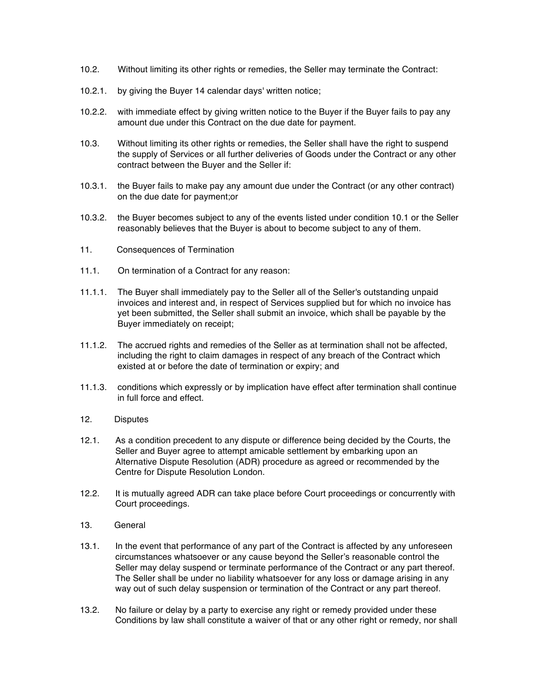- 10.2. Without limiting its other rights or remedies, the Seller may terminate the Contract:
- 10.2.1. by giving the Buyer 14 calendar days' written notice;
- 10.2.2. with immediate effect by giving written notice to the Buyer if the Buyer fails to pay any amount due under this Contract on the due date for payment.
- 10.3. Without limiting its other rights or remedies, the Seller shall have the right to suspend the supply of Services or all further deliveries of Goods under the Contract or any other contract between the Buyer and the Seller if:
- 10.3.1. the Buyer fails to make pay any amount due under the Contract (or any other contract) on the due date for payment;or
- 10.3.2. the Buyer becomes subject to any of the events listed under condition 10.1 or the Seller reasonably believes that the Buyer is about to become subject to any of them.
- 11. Consequences of Termination
- 11.1. On termination of a Contract for any reason:
- 11.1.1. The Buyer shall immediately pay to the Seller all of the Seller's outstanding unpaid invoices and interest and, in respect of Services supplied but for which no invoice has yet been submitted, the Seller shall submit an invoice, which shall be payable by the Buyer immediately on receipt;
- 11.1.2. The accrued rights and remedies of the Seller as at termination shall not be affected, including the right to claim damages in respect of any breach of the Contract which existed at or before the date of termination or expiry; and
- 11.1.3. conditions which expressly or by implication have effect after termination shall continue in full force and effect.
- 12. Disputes
- 12.1. As a condition precedent to any dispute or difference being decided by the Courts, the Seller and Buyer agree to attempt amicable settlement by embarking upon an Alternative Dispute Resolution (ADR) procedure as agreed or recommended by the Centre for Dispute Resolution London.
- 12.2. It is mutually agreed ADR can take place before Court proceedings or concurrently with Court proceedings.
- 13. General
- 13.1. In the event that performance of any part of the Contract is affected by any unforeseen circumstances whatsoever or any cause beyond the Seller's reasonable control the Seller may delay suspend or terminate performance of the Contract or any part thereof. The Seller shall be under no liability whatsoever for any loss or damage arising in any way out of such delay suspension or termination of the Contract or any part thereof.
- 13.2. No failure or delay by a party to exercise any right or remedy provided under these Conditions by law shall constitute a waiver of that or any other right or remedy, nor shall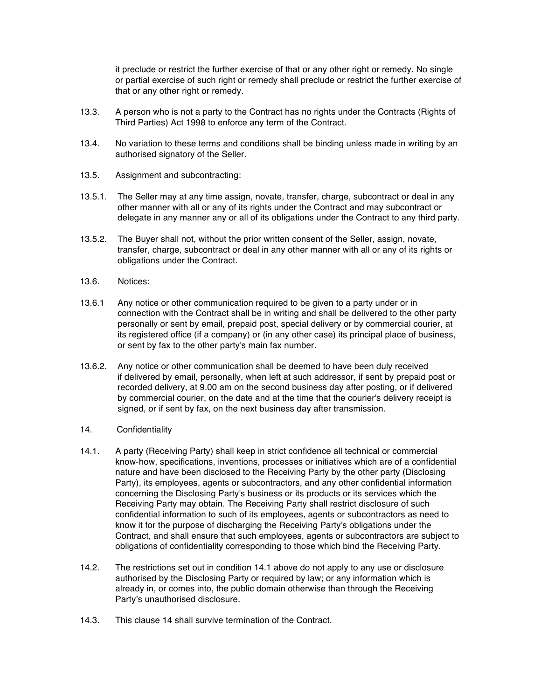it preclude or restrict the further exercise of that or any other right or remedy. No single or partial exercise of such right or remedy shall preclude or restrict the further exercise of that or any other right or remedy.

- 13.3. A person who is not a party to the Contract has no rights under the Contracts (Rights of Third Parties) Act 1998 to enforce any term of the Contract.
- 13.4. No variation to these terms and conditions shall be binding unless made in writing by an authorised signatory of the Seller.
- 13.5. Assignment and subcontracting:
- 13.5.1. The Seller may at any time assign, novate, transfer, charge, subcontract or deal in any other manner with all or any of its rights under the Contract and may subcontract or delegate in any manner any or all of its obligations under the Contract to any third party.
- 13.5.2. The Buyer shall not, without the prior written consent of the Seller, assign, novate, transfer, charge, subcontract or deal in any other manner with all or any of its rights or obligations under the Contract.
- 13.6. Notices:
- 13.6.1 Any notice or other communication required to be given to a party under or in connection with the Contract shall be in writing and shall be delivered to the other party personally or sent by email, prepaid post, special delivery or by commercial courier, at its registered office (if a company) or (in any other case) its principal place of business, or sent by fax to the other party's main fax number.
- 13.6.2. Any notice or other communication shall be deemed to have been duly received if delivered by email, personally, when left at such addressor, if sent by prepaid post or recorded delivery, at 9.00 am on the second business day after posting, or if delivered by commercial courier, on the date and at the time that the courier's delivery receipt is signed, or if sent by fax, on the next business day after transmission.
- 14. Confidentiality
- 14.1. A party (Receiving Party) shall keep in strict confidence all technical or commercial know-how, specifications, inventions, processes or initiatives which are of a confidential nature and have been disclosed to the Receiving Party by the other party (Disclosing Party), its employees, agents or subcontractors, and any other confidential information concerning the Disclosing Party's business or its products or its services which the Receiving Party may obtain. The Receiving Party shall restrict disclosure of such confidential information to such of its employees, agents or subcontractors as need to know it for the purpose of discharging the Receiving Party's obligations under the Contract, and shall ensure that such employees, agents or subcontractors are subject to obligations of confidentiality corresponding to those which bind the Receiving Party.
- 14.2. The restrictions set out in condition 14.1 above do not apply to any use or disclosure authorised by the Disclosing Party or required by law; or any information which is already in, or comes into, the public domain otherwise than through the Receiving Party's unauthorised disclosure.
- 14.3. This clause 14 shall survive termination of the Contract.